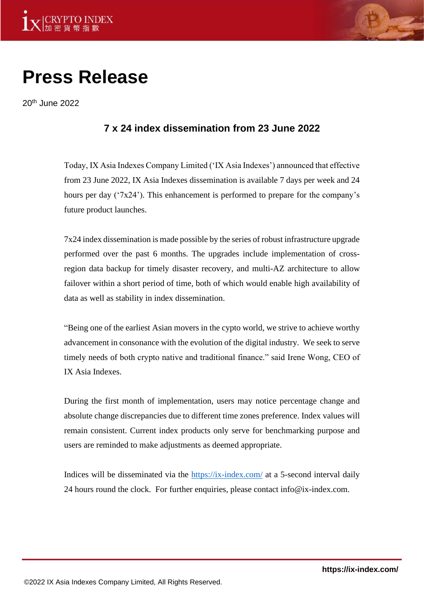



# **Press Release**

20<sup>th</sup> June 2022

# **7 x 24 index dissemination from 23 June 2022**

Today, IX Asia Indexes Company Limited ('IX Asia Indexes') announced that effective from 23 June 2022, IX Asia Indexes dissemination is available 7 days per week and 24 hours per day ('7x24'). This enhancement is performed to prepare for the company's future product launches.

7x24 index dissemination is made possible by the series of robust infrastructure upgrade performed over the past 6 months. The upgrades include implementation of crossregion data backup for timely disaster recovery, and multi-AZ architecture to allow failover within a short period of time, both of which would enable high availability of data as well as stability in index dissemination.

"Being one of the earliest Asian movers in the cypto world, we strive to achieve worthy advancement in consonance with the evolution of the digital industry. We seek to serve timely needs of both crypto native and traditional finance." said Irene Wong, CEO of IX Asia Indexes.

During the first month of implementation, users may notice percentage change and absolute change discrepancies due to different time zones preference. Index values will remain consistent. Current index products only serve for benchmarking purpose and users are reminded to make adjustments as deemed appropriate.

Indices will be disseminated via the<https://ix-index.com/> at a 5-second interval daily 24 hours round the clock. For further enquiries, please contact info@ix-index.com.